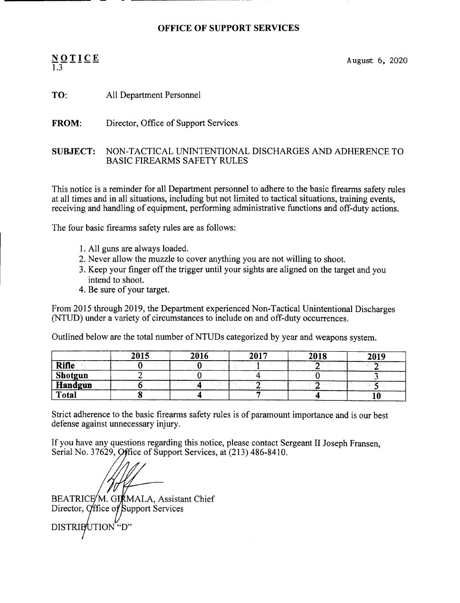## OFFICE OF SUPPORT SERVICES

## 1.3

 $NQTLCE$  August 6, 2020

TO: All Department Personnel

FROM: Director, Office of Support Services

## SUBJECT: NON-TACTICAL UNINTENTIONAL DISCHARGES AND ADHERENCE TO BASIC FIREARMS SAFETY RULES

This notice is a reminder for all Department personnel to adhere to the basic firearms safety rules at all times and in all situations, including but not limited to tactical situations, training events, receiving and handling of equipment, performing administrative functions and off-duty actions.

The four basic firearms safety rules are as follows:

- 1. All guns are always loaded.
- 2. Never allow the muzzle to cover anything you are not willing to shoot.
- 3. Keep your finger off the trigger until your sights are aligned on the target and you intend to shoot.
- 4. Be sure of your target.

From 2015 through 2019, the Department experienced Non-Tactical Unintentional Discharges (NTUD) under a variety of circumstances to include on and off-duty occurrences.

Outlined below are the total number of NTUDs categorized by year and weapons system.

|                | 2015 | 2016 | 2017 | 2018 | 2019 |
|----------------|------|------|------|------|------|
| <b>Rifle</b>   |      |      |      |      |      |
| <b>Shotgun</b> |      |      |      |      |      |
| <b>Handgun</b> |      |      |      |      |      |
| Total          |      |      |      |      |      |

Strict adherence to the basic firearms safety rules is of paramount importance and is our best defense against unnecessary injury.

If you have any questions regarding this notice, please contact Sergeant II Joseph Fransen, Serial No. 37629, Office of Support Services, at (213) 486-8410.

Director, Office of Support Services BEATRICE/M. GIRMALA, Assistant Chief DISTRIBUTION "D"